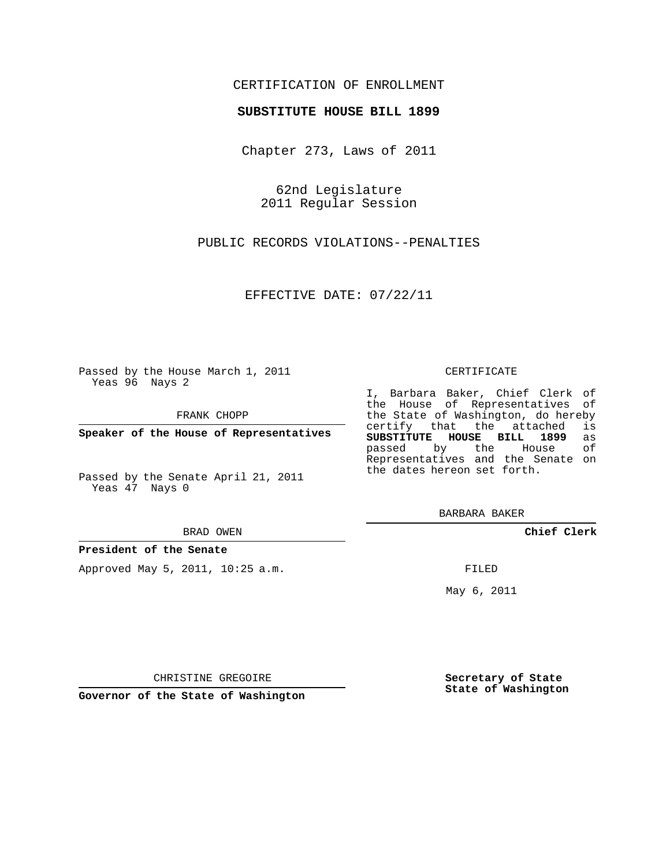## CERTIFICATION OF ENROLLMENT

## **SUBSTITUTE HOUSE BILL 1899**

Chapter 273, Laws of 2011

62nd Legislature 2011 Regular Session

PUBLIC RECORDS VIOLATIONS--PENALTIES

EFFECTIVE DATE: 07/22/11

Passed by the House March 1, 2011 Yeas 96 Nays 2

FRANK CHOPP

**Speaker of the House of Representatives**

Passed by the Senate April 21, 2011 Yeas 47 Nays 0

#### BRAD OWEN

## **President of the Senate**

Approved May 5, 2011, 10:25 a.m.

#### CERTIFICATE

I, Barbara Baker, Chief Clerk of the House of Representatives of the State of Washington, do hereby<br>certify that the attached is certify that the attached **SUBSTITUTE HOUSE BILL 1899** as passed by the Representatives and the Senate on the dates hereon set forth.

BARBARA BAKER

**Chief Clerk**

FILED

May 6, 2011

**Secretary of State State of Washington**

CHRISTINE GREGOIRE

**Governor of the State of Washington**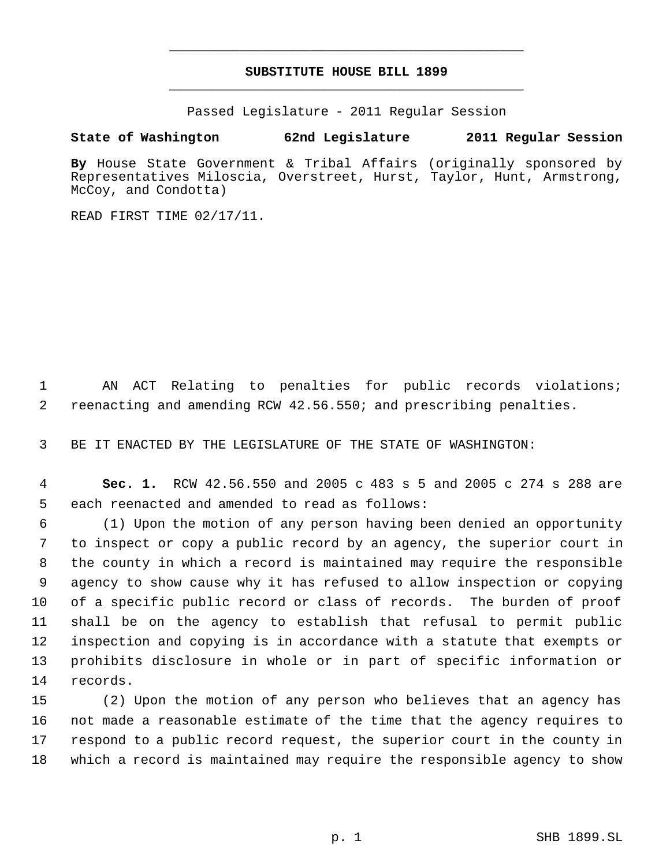# **SUBSTITUTE HOUSE BILL 1899** \_\_\_\_\_\_\_\_\_\_\_\_\_\_\_\_\_\_\_\_\_\_\_\_\_\_\_\_\_\_\_\_\_\_\_\_\_\_\_\_\_\_\_\_\_

\_\_\_\_\_\_\_\_\_\_\_\_\_\_\_\_\_\_\_\_\_\_\_\_\_\_\_\_\_\_\_\_\_\_\_\_\_\_\_\_\_\_\_\_\_

Passed Legislature - 2011 Regular Session

# **State of Washington 62nd Legislature 2011 Regular Session**

**By** House State Government & Tribal Affairs (originally sponsored by Representatives Miloscia, Overstreet, Hurst, Taylor, Hunt, Armstrong, McCoy, and Condotta)

READ FIRST TIME 02/17/11.

 AN ACT Relating to penalties for public records violations; reenacting and amending RCW 42.56.550; and prescribing penalties.

BE IT ENACTED BY THE LEGISLATURE OF THE STATE OF WASHINGTON:

 **Sec. 1.** RCW 42.56.550 and 2005 c 483 s 5 and 2005 c 274 s 288 are each reenacted and amended to read as follows:

 (1) Upon the motion of any person having been denied an opportunity to inspect or copy a public record by an agency, the superior court in the county in which a record is maintained may require the responsible agency to show cause why it has refused to allow inspection or copying of a specific public record or class of records. The burden of proof shall be on the agency to establish that refusal to permit public inspection and copying is in accordance with a statute that exempts or prohibits disclosure in whole or in part of specific information or records.

 (2) Upon the motion of any person who believes that an agency has not made a reasonable estimate of the time that the agency requires to respond to a public record request, the superior court in the county in which a record is maintained may require the responsible agency to show